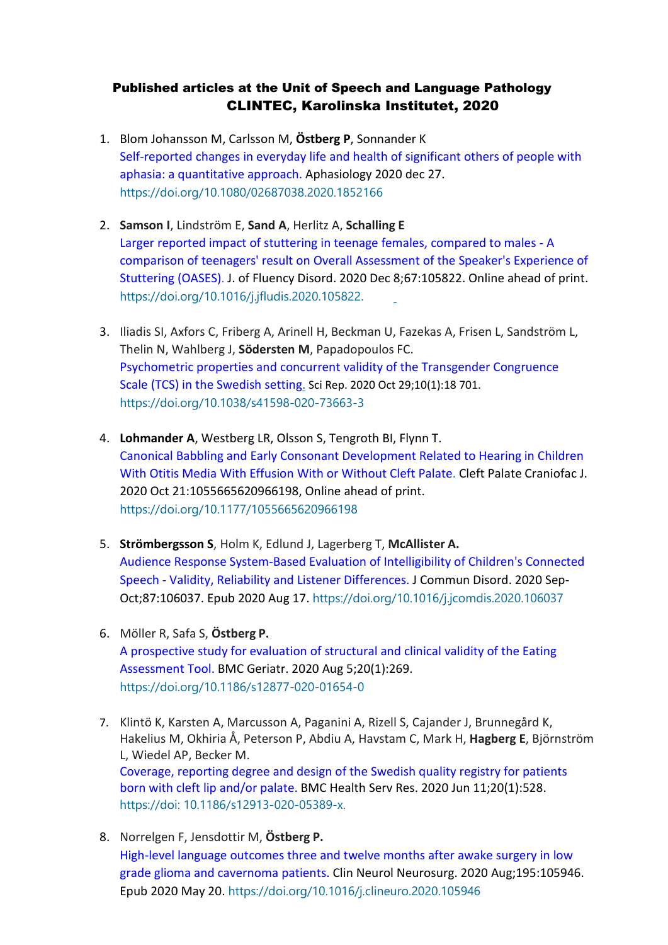## Published articles at the Unit of Speech and Language Pathology CLINTEC, Karolinska Institutet, 2020

- 1. Blom Johansson M, Carlsson M, **Östberg P**, Sonnander K Self-reported changes in everyday life and health of significant others of people with aphasia: a quantitative approach. Aphasiology 2020 dec 27. <https://doi.org/10.1080/02687038.2020.1852166>
- 2. **Samson I**, Lindström E, **Sand A**, Herlitz A, **Schalling E** [Larger reported impact of stuttering in teenage females, compared to males -](https://pubmed-ncbi-nlm-nih-gov.proxy.kib.ki.se/33348210/) A [comparison of teenagers' result on Overall Assessment of the Speaker's Experience of](https://pubmed-ncbi-nlm-nih-gov.proxy.kib.ki.se/33348210/) [Stuttering \(OASES\)](https://pubmed-ncbi-nlm-nih-gov.proxy.kib.ki.se/33348210/). [J](https://pubmed-ncbi-nlm-nih-gov.proxy.kib.ki.se/33348210/). of Fluency Disord. 2020 Dec 8;67:105822. Online ahead of print. [https://doi.org/10.1016/j.jfludis.2020.105822.](https://doi.org/10.1016/j.jfludis.2020.105822)
- 3. Iliadis SI, Axfors C, Friberg A, Arinell H, Beckman U, Fazekas A, Frisen L, Sandström L, Thelin N, Wahlberg J, **Södersten M**, Papadopoulos FC. [Psychometric properties and concurrent validity of the Transgender Congruence](https://pubmed-ncbi-nlm-nih-gov.proxy.kib.ki.se/33122633/) [Scale \(TCS\) in the Swedish setting. S](https://pubmed-ncbi-nlm-nih-gov.proxy.kib.ki.se/33122633/)ci Rep. 2020 Oct 29;10(1):18 701. <https://doi.org/10.1038/s41598-020-73663-3>
- 4. **Lohmander A**, Westberg LR, Olsson S, Tengroth BI, Flynn T. [Canonical Babbling and Early Consonant Development Related to Hearing in Children](https://pubmed-ncbi-nlm-nih-gov.proxy.kib.ki.se/33084358/) [With Otitis Media With Effusion With or Without Cleft Palate. C](https://pubmed-ncbi-nlm-nih-gov.proxy.kib.ki.se/33084358/)left Palate Craniofac J. 2020 Oct 21:1055665620966198, Online ahead of print. [https://doi.org/10.1177/1055665620966198](https://doi.org/10.1177%2F1055665620966198)
- 5. **Strömbergsson S**, Holm K, Edlund J, Lagerberg T, **McAllister A.** [Audience Response System-Based Evaluation of Intelligibility of Children's Connected](https://pubmed-ncbi-nlm-nih-gov.proxy.kib.ki.se/32846287/) Speech - [Validity, Reliability and Listener Differences. J](https://pubmed-ncbi-nlm-nih-gov.proxy.kib.ki.se/32846287/) Commun Disord. 2020 Sep-Oct;87:106037. Epub 2020 Aug 17. <https://doi.org/10.1016/j.jcomdis.2020.106037>
- 6. Möller R, Safa S, **Östberg P.** [A prospective study for evaluation of structural and clinical validity of the Eating](https://pubmed-ncbi-nlm-nih-gov.proxy.kib.ki.se/32758137/) [Assessment Tool. B](https://pubmed-ncbi-nlm-nih-gov.proxy.kib.ki.se/32758137/)MC Geriatr. 2020 Aug 5;20(1):269. <https://doi.org/10.1186/s12877-020-01654-0>
- 7. Klintö K, Karsten A, Marcusson A, Paganini A, Rizell S, Cajander J, Brunnegård K, Hakelius M, Okhiria Å, Peterson P, Abdiu A, Havstam C, Mark H, **Hagberg E**, Björnström L, Wiedel AP, Becker M[.](https://pubmed-ncbi-nlm-nih-gov.proxy.kib.ki.se/32522189/) [Coverage, reporting degree and design of the Swedish quality registry for patients](https://pubmed-ncbi-nlm-nih-gov.proxy.kib.ki.se/32522189/)  born with cleft [lip and/or](https://pubmed-ncbi-nlm-nih-gov.proxy.kib.ki.se/32522189/) palate. BMC Health Serv Res. 2020 Jun 11;20(1):528. https://doi: 10.1186/s12913-020-05389-x.
- 8. Norrelgen F, Jensdottir M, **Östberg P.** [High-level language outcomes three and twelve months after awake surgery in low](https://pubmed-ncbi-nlm-nih-gov.proxy.kib.ki.se/32480197/) [grade glioma and cavernoma patients. C](https://pubmed-ncbi-nlm-nih-gov.proxy.kib.ki.se/32480197/)lin Neurol Neurosurg. 2020 Aug;195:105946. Epub 2020 May 20. <https://doi.org/10.1016/j.clineuro.2020.105946>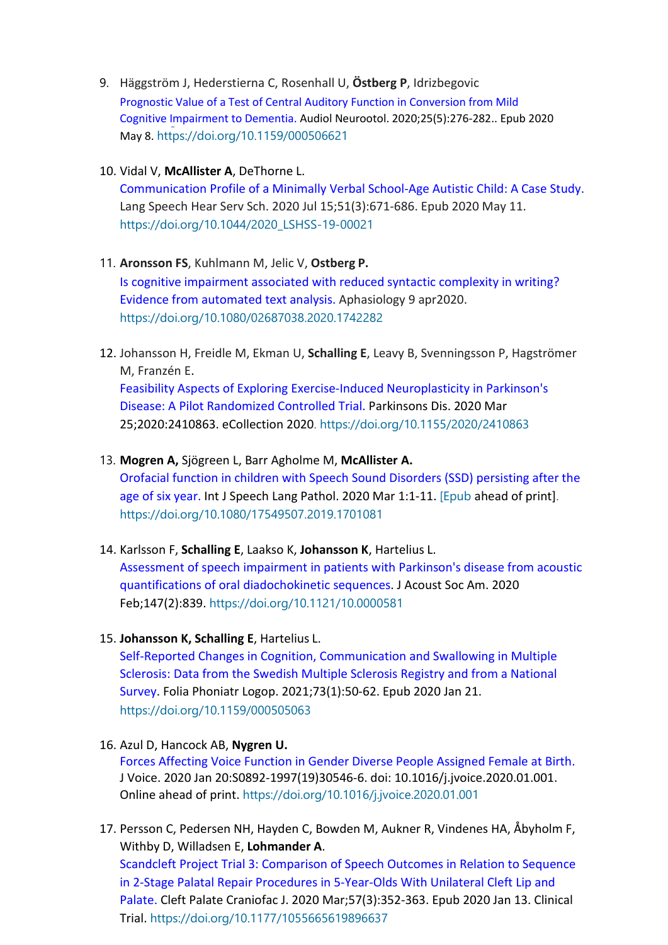- 9. Häggström J, Hederstierna C, Rosenhall U, **Östberg P**, Idrizbegovic [Prognostic Value of a Test of Central Auditory Function in Conversion from Mild](https://pubmed-ncbi-nlm-nih-gov.proxy.kib.ki.se/32388503/) [Cognitive Impairment to Dementia. A](https://pubmed-ncbi-nlm-nih-gov.proxy.kib.ki.se/32388503/)udiol Neurootol. 2020;25(5):276-282.. Epub 2020 May 8. <https://doi.org/10.1159/000506621>
- 10. Vidal V, **McAllister A**, DeThorne L.

[Communication Profile of a Minimally Verbal School-Age Autistic Child: A Case Study.](https://pubmed-ncbi-nlm-nih-gov.proxy.kib.ki.se/32392446/) Lang Speech Hear Serv Sch. 2020 Jul 15;51(3):671-686. Epub 2020 May 11. [https://doi.org/10.1044/2020\\_LSHSS-19-00021](https://doi.org/10.1044/2020_LSHSS-19-00021)

## 11. **Aronsson FS**, Kuhlmann M, Jelic V, **Ostberg P.**

[Is cognitive impairment associated with reduced syntactic complexity in writing?](https://gateway-webofknowledge-com.proxy.kib.ki.se/gateway/Gateway.cgi?DestApp=WOS&GWVersion=2&SrcApp=RRC&locale=en_US&SrcAuth=RRC&DestLinkType=FullRecord&KeyUT=WOS%3A000526283200001)  [Evidence](https://gateway-webofknowledge-com.proxy.kib.ki.se/gateway/Gateway.cgi?DestApp=WOS&GWVersion=2&SrcApp=RRC&locale=en_US&SrcAuth=RRC&DestLinkType=FullRecord&KeyUT=WOS%3A000526283200001) [from automated text analysis. A](https://gateway-webofknowledge-com.proxy.kib.ki.se/gateway/Gateway.cgi?DestApp=WOS&GWVersion=2&SrcApp=RRC&locale=en_US&SrcAuth=RRC&DestLinkType=FullRecord&KeyUT=WOS%3A000526283200001)phasiology 9 apr2020. <https://doi.org/10.1080/02687038.2020.1742282>

12. Johansson H, Freidle M, Ekman U, **Schalling E**, Leavy B, Svenningsson P, Hagströmer M, Franzén E. [Feasibility Aspects of Exploring Exercise-Induced Neuroplasticity in Parkinson's](https://pubmed-ncbi-nlm-nih-gov.proxy.kib.ki.se/32300475/) [Disease: A Pilot Randomized Controlled Trial. P](https://pubmed-ncbi-nlm-nih-gov.proxy.kib.ki.se/32300475/)arkinsons Dis. 2020 Mar 25;2020:2410863. eCollection 2020.<https://doi.org/10.1155/2020/2410863>

## 13. **Mogren A,** Sjögreen L, Barr Agholme M, **McAllister A.**

Orofacial function in children with Speech Sound Disorders (SSD) persisting after the age of six year. [Int J Speech Lang Pathol. 2](https://www-ncbi-nlm-nih-gov.proxy.kib.ki.se/pubmed/?term=Orofacial%2Bfunction%2Bin%2Bchildren%2Bwith%2BSpeech%2BSound%2BDisorders%2BSSD%2BPersisting%2Bafter%2Bthe%2Bage%2Bof%2B6%2Byears)020 Mar 1:1-11. [Epub ahead of print]. <https://doi.org/10.1080/17549507.2019.1701081>

- 14. Karlsson F, **Schalling E**, Laakso K, **Johansson K**, Hartelius L. Assessment of speech impairment in patients with Parkinson's disease from acoustic quantifications of oral diadochokinetic sequences. J Acoust Soc Am. 2020 Feb;147(2):839. <https://doi.org/10.1121/10.0000581>
- 15. **Johansson K, Schalling E**, Hartelius L.

[Self-Reported Changes in Cognition, Communication and Swallowing in Multiple](https://pubmed-ncbi-nlm-nih-gov.proxy.kib.ki.se/31962338/) [Sclerosis: Data from the Swedish Multiple Sclerosis Registry and from a National](https://pubmed-ncbi-nlm-nih-gov.proxy.kib.ki.se/31962338/) [Survey. F](https://pubmed-ncbi-nlm-nih-gov.proxy.kib.ki.se/31962338/)olia Phoniatr Logop. 2021;73(1):50-62. Epub 2020 Jan 21. <https://doi.org/10.1159/000505063>

- 16. Azul D, Hancock AB, **Nygren U.** [Forces Affecting Voice Function in Gender Diverse People Assigned Female at Birth.](https://pubmed-ncbi-nlm-nih-gov.proxy.kib.ki.se/31974036/) J Voice. 2020 Jan 20:S0892-1997(19)30546-6. doi: 10.1016/j.jvoice.2020.01.001. Online ahead of print. https://doi.org[/10.1016/j.jvoice.2020.01.001](https://doi-org.proxy.kib.ki.se/10.1016/j.jvoice.2020.01.001)
- 17. Persson C, Pedersen NH, Hayden C, Bowden M, Aukner R, Vindenes HA, Åbyholm F, Withby D, Willadsen E, **Lohmander A**.

[Scandcleft Project Trial 3: Comparison of Speech Outcomes in Relation to Sequence](https://www-ncbi-nlm-nih-gov.proxy.kib.ki.se/pubmed/31928085) in 2-Stage Palatal Repair [Procedures in 5-Year-Olds With Unilateral Cleft Lip and](https://www-ncbi-nlm-nih-gov.proxy.kib.ki.se/pubmed/31928085) [Palate. C](https://www-ncbi-nlm-nih-gov.proxy.kib.ki.se/pubmed/31928085)left Palate Craniofac J. 2020 Mar;57(3):352-363. Epub 2020 Jan 13. Clinical Trial. [https://doi.org/10.1177/1055665619896637](https://doi.org/10.1177%2F1055665619896637)